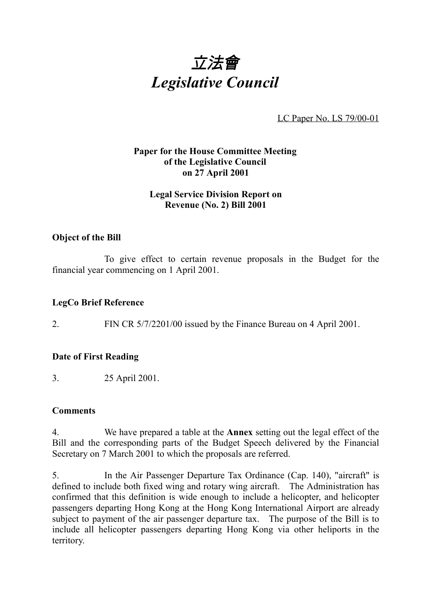

LC Paper No. LS 79/00-01

# **Paper for the House Committee Meeting of the Legislative Council on 27 April 2001**

## **Legal Service Division Report on Revenue (No. 2) Bill 2001**

#### **Object of the Bill**

To give effect to certain revenue proposals in the Budget for the financial year commencing on 1 April 2001.

#### **LegCo Brief Reference**

2. FIN CR 5/7/2201/00 issued by the Finance Bureau on 4 April 2001.

#### **Date of First Reading**

3. 25 April 2001.

#### **Comments**

4. We have prepared a table at the **Annex** setting out the legal effect of the Bill and the corresponding parts of the Budget Speech delivered by the Financial Secretary on 7 March 2001 to which the proposals are referred.

5. In the Air Passenger Departure Tax Ordinance (Cap. 140), "aircraft" is defined to include both fixed wing and rotary wing aircraft. The Administration has confirmed that this definition is wide enough to include a helicopter, and helicopter passengers departing Hong Kong at the Hong Kong International Airport are already subject to payment of the air passenger departure tax. The purpose of the Bill is to include all helicopter passengers departing Hong Kong via other heliports in the territory.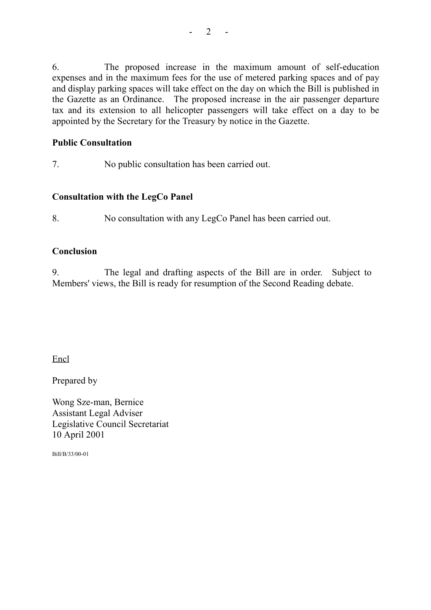6. The proposed increase in the maximum amount of self-education expenses and in the maximum fees for the use of metered parking spaces and of pay and display parking spaces will take effect on the day on which the Bill is published in the Gazette as an Ordinance. The proposed increase in the air passenger departure tax and its extension to all helicopter passengers will take effect on a day to be appointed by the Secretary for the Treasury by notice in the Gazette.

## **Public Consultation**

7. No public consultation has been carried out.

# **Consultation with the LegCo Panel**

8. No consultation with any LegCo Panel has been carried out.

#### **Conclusion**

9. The legal and drafting aspects of the Bill are in order. Subject to Members' views, the Bill is ready for resumption of the Second Reading debate.

Encl

Prepared by

Wong Sze-man, Bernice Assistant Legal Adviser Legislative Council Secretariat 10 April 2001

Bill/B/33/00-01